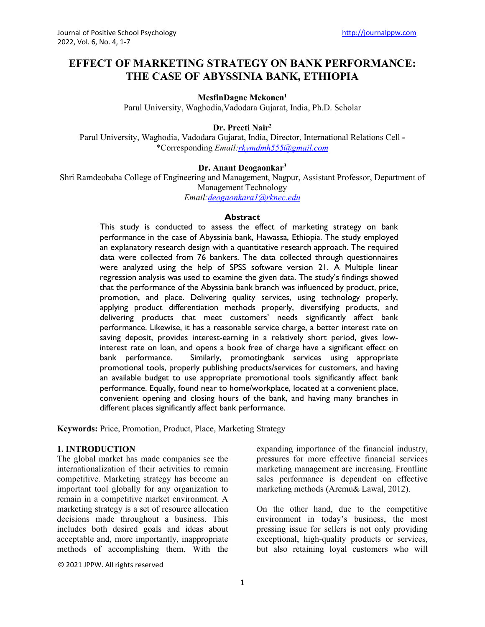# **EFFECT OF MARKETING STRATEGY ON BANK PERFORMANCE: THE CASE OF ABYSSINIA BANK, ETHIOPIA**

# **MesfinDagne Mekonen1**

Parul University, Waghodia,Vadodara Gujarat, India, Ph.D. Scholar

# **Dr. Preeti Nair2**

Parul University, Waghodia, Vadodara Gujarat, India, Director, International Relations Cell **-** \*Corresponding *Email[:rkymdmh555@gmail.com](mailto:rkymdmh555@gmail.com)*

### **Dr. Anant Deogaonkar3**

Shri Ramdeobaba College of Engineering and Management, Nagpur, Assistant Professor, Department of Management Technology *Email[:deogaonkara1@rknec.edu](mailto:deogaonkara1@rknec.edu)*

#### **Abstract**

This study is conducted to assess the effect of marketing strategy on bank performance in the case of Abyssinia bank, Hawassa, Ethiopia. The study employed an explanatory research design with a quantitative research approach. The required data were collected from 76 bankers. The data collected through questionnaires were analyzed using the help of SPSS software version 21. A Multiple linear regression analysis was used to examine the given data. The study's findings showed that the performance of the Abyssinia bank branch was influenced by product, price, promotion, and place. Delivering quality services, using technology properly, applying product differentiation methods properly, diversifying products, and delivering products that meet customers' needs significantly affect bank performance. Likewise, it has a reasonable service charge, a better interest rate on saving deposit, provides interest-earning in a relatively short period, gives lowinterest rate on loan, and opens a book free of charge have a significant effect on bank performance. Similarly, promotingbank services using appropriate promotional tools, properly publishing products/services for customers, and having an available budget to use appropriate promotional tools significantly affect bank performance. Equally, found near to home/workplace, located at a convenient place, convenient opening and closing hours of the bank, and having many branches in different places significantly affect bank performance.

**Keywords:** Price, Promotion, Product, Place, Marketing Strategy

# **1. INTRODUCTION**

The global market has made companies see the internationalization of their activities to remain competitive. Marketing strategy has become an important tool globally for any organization to remain in a competitive market environment. A marketing strategy is a set of resource allocation decisions made throughout a business. This includes both desired goals and ideas about acceptable and, more importantly, inappropriate methods of accomplishing them. With the expanding importance of the financial industry, pressures for more effective financial services marketing management are increasing. Frontline sales performance is dependent on effective marketing methods (Aremu& Lawal, 2012).

On the other hand, due to the competitive environment in today's business, the most pressing issue for sellers is not only providing exceptional, high-quality products or services, but also retaining loyal customers who will

© 2021 JPPW. All rights reserved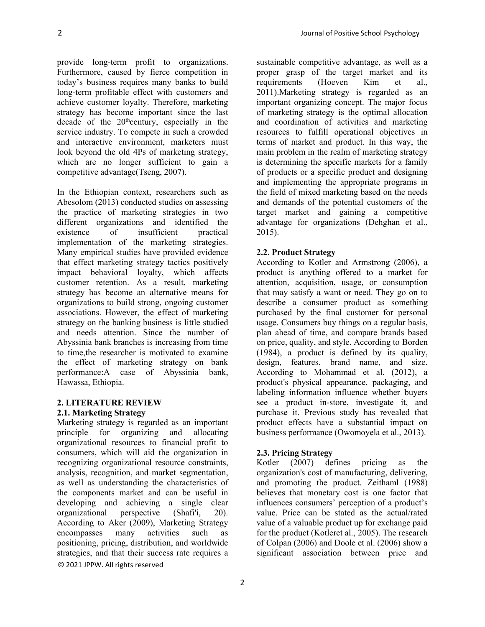provide long-term profit to organizations. Furthermore, caused by fierce competition in today's business requires many banks to build long-term profitable effect with customers and achieve customer loyalty. Therefore, marketing strategy has become important since the last decade of the  $20^{\text{th}}$ century, especially in the service industry. To compete in such a crowded and interactive environment, marketers must look beyond the old 4Ps of marketing strategy, which are no longer sufficient to gain a competitive advantage(Tseng, 2007).

In the Ethiopian context, researchers such as Abesolom (2013) conducted studies on assessing the practice of marketing strategies in two different organizations and identified the existence of insufficient practical implementation of the marketing strategies. Many empirical studies have provided evidence that effect marketing strategy tactics positively impact behavioral loyalty, which affects customer retention. As a result, marketing strategy has become an alternative means for organizations to build strong, ongoing customer associations. However, the effect of marketing strategy on the banking business is little studied and needs attention. Since the number of Abyssinia bank branches is increasing from time to time,the researcher is motivated to examine the effect of marketing strategy on bank performance:A case of Abyssinia bank, Hawassa, Ethiopia.

### **2. LITERATURE REVIEW 2.1. Marketing Strategy**

© 2021 JPPW. All rights reserved Marketing strategy is regarded as an important principle for organizing and allocating organizational resources to financial profit to consumers, which will aid the organization in recognizing organizational resource constraints, analysis, recognition, and market segmentation, as well as understanding the characteristics of the components market and can be useful in developing and achieving a single clear organizational perspective (Shafi'i, 20). According to Aker (2009), Marketing Strategy encompasses many activities such as positioning, pricing, distribution, and worldwide strategies, and that their success rate requires a

sustainable competitive advantage, as well as a proper grasp of the target market and its requirements (Hoeven Kim et al., 2011).Marketing strategy is regarded as an important organizing concept. The major focus of marketing strategy is the optimal allocation and coordination of activities and marketing resources to fulfill operational objectives in terms of market and product. In this way, the main problem in the realm of marketing strategy is determining the specific markets for a family of products or a specific product and designing and implementing the appropriate programs in the field of mixed marketing based on the needs and demands of the potential customers of the target market and gaining a competitive advantage for organizations (Dehghan et al., 2015).

# **2.2. Product Strategy**

According to Kotler and Armstrong (2006), a product is anything offered to a market for attention, acquisition, usage, or consumption that may satisfy a want or need. They go on to describe a consumer product as something purchased by the final customer for personal usage. Consumers buy things on a regular basis, plan ahead of time, and compare brands based on price, quality, and style. According to Borden (1984), a product is defined by its quality, design, features, brand name, and size. According to Mohammad et al. (2012), a product's physical appearance, packaging, and labeling information influence whether buyers see a product in-store, investigate it, and purchase it. Previous study has revealed that product effects have a substantial impact on business performance (Owomoyela et al., 2013).

# **2.3. Pricing Strategy**

Kotler (2007) defines pricing as the organization's cost of manufacturing, delivering, and promoting the product. Zeithaml (1988) believes that monetary cost is one factor that influences consumers' perception of a product's value. Price can be stated as the actual/rated value of a valuable product up for exchange paid for the product (Kotleret al., 2005). The research of Colpan (2006) and Doole et al. (2006) show a significant association between price and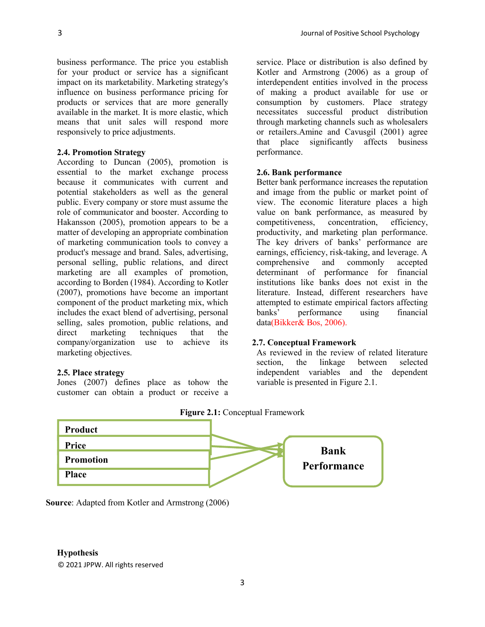business performance. The price you establish for your product or service has a significant impact on its marketability. Marketing strategy's influence on business performance pricing for products or services that are more generally available in the market. It is more elastic, which means that unit sales will respond more responsively to price adjustments.

### **2.4. Promotion Strategy**

According to Duncan (2005), promotion is essential to the market exchange process because it communicates with current and potential stakeholders as well as the general public. Every company or store must assume the role of communicator and booster. According to Hakansson (2005), promotion appears to be a matter of developing an appropriate combination of marketing communication tools to convey a product's message and brand. Sales, advertising, personal selling, public relations, and direct marketing are all examples of promotion, according to Borden (1984). According to Kotler (2007), promotions have become an important component of the product marketing mix, which includes the exact blend of advertising, personal selling, sales promotion, public relations, and direct marketing techniques that the company/organization use to achieve its marketing objectives.

#### **2.5. Place strategy**

Jones (2007) defines place as tohow the customer can obtain a product or receive a service. Place or distribution is also defined by Kotler and Armstrong (2006) as a group of interdependent entities involved in the process of making a product available for use or consumption by customers. Place strategy necessitates successful product distribution through marketing channels such as wholesalers or retailers.Amine and Cavusgil (2001) agree that place significantly affects business performance.

#### **2.6. Bank performance**

Better bank performance increases the reputation and image from the public or market point of view. The economic literature places a high value on bank performance, as measured by competitiveness, concentration, efficiency, competitiveness, concentration, productivity, and marketing plan performance. The key drivers of banks' performance are earnings, efficiency, risk-taking, and leverage. A comprehensive and commonly accepted determinant of performance for financial institutions like banks does not exist in the literature. Instead, different researchers have attempted to estimate empirical factors affecting banks' performance using financial data(Bikker& Bos, 2006).

#### **2.7. Conceptual Framework**

As reviewed in the review of related literature section, the linkage between selected independent variables and the dependent variable is presented іn Figure 2.1.



#### **Figure 2.1:** Conceptual Framework

**Source**: Adapted from Kotler and Armstrong (2006)

# **Hypothesis**

© 2021 JPPW. All rights reserved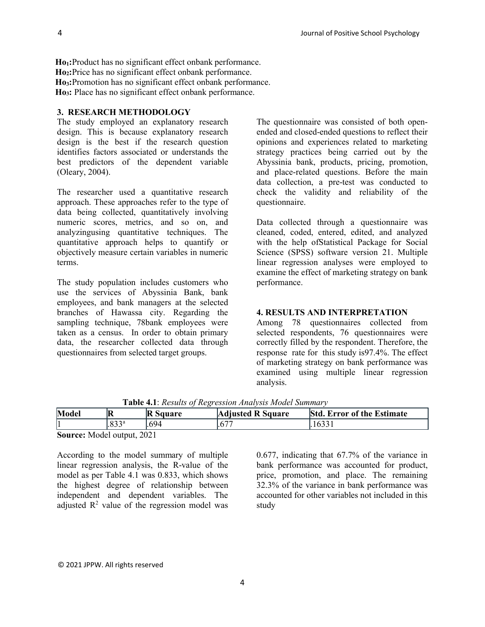**Ho1:**Product has no significant effect onbank performance. **Ho2:**Price has no significant effect onbank performance. **Ho3:**Promotion has no significant effect onbank performance. **Ho3:** Place has no significant effect onbank performance.

# **3. RESEARCH METHODOLOGY**

The study employed an explanatory research design. This is because explanatory research design is the best if the research question identifies factors associated or understands the best predictors of the dependent variable (Oleary, 2004).

The researcher used a quantitative research approach. These approaches refer to the type of data being collected, quantitatively involving numeric scores, metrics, and so on, and analyzingusing quantitative techniques. The quantitative approach helps to quantify or objectively measure certain variables in numeric terms.

The study population includes customers who use the services of Abyssinia Bank, bank employees, and bank managers at the selected branches of Hawassa city. Regarding the sampling technique, 78bank employees were taken as a census. In order to obtain primary data, the researcher collected data through questionnaires from selected target groups.

The questionnaire was consisted of both openended and closed-ended questions to reflect their opinions and experiences related to marketing strategy practices being carried out by the Abyssinia bank, products, pricing, promotion, and place-related questions. Before the main data collection, a pre-test was conducted to check the validity and reliability of the questionnaire.

Data collected through a questionnaire was cleaned, coded, entered, edited, and analyzed with the help ofStatistical Package for Social Science (SPSS) software version 21. Multiple linear regression analyses were employed to examine the effect of marketing strategy on bank performance.

### **4. RESULTS AND INTERPRETATION**

Among 78 questionnaires collected from selected respondents, 76 questionnaires were correctly filled by the respondent. Therefore, the response rate for this study is97.4%. The effect of marketing strategy on bank performance was examined using multiple linear regression analysis.

| Model                         | R                 | $\mathbb{R}$<br>Square | <b>Adjusted R Square</b> | <b>Std</b><br><b>Error of the Estimate</b> |
|-------------------------------|-------------------|------------------------|--------------------------|--------------------------------------------|
|                               | .833 <sup>a</sup> | .694                   | $\epsilon$               |                                            |
| $\overline{\phantom{a}}$<br>. |                   | ----                   |                          |                                            |

**Table 4.1**: *Results of Regression Analysis Model Summary*

**Source:** Model output, 2021

According to the model summary of multiple linear regression analysis, the R-value of the model as per Table 4.1 was 0.833, which shows the highest degree of relationship between independent and dependent variables. The adjusted  $\mathbb{R}^2$  value of the regression model was

0.677, indicating that 67.7% of the variance in bank performance was accounted for product, price, promotion, and place. The remaining 32.3% of the variance in bank performance was accounted for other variables not included in this study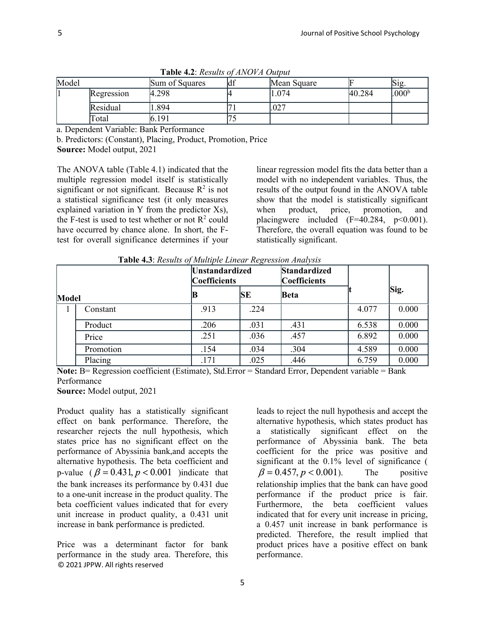| Model |                   | Sum of Squares | ld 1 | Mean Square |        | Sig.              |  |  |
|-------|-------------------|----------------|------|-------------|--------|-------------------|--|--|
|       | <b>Regression</b> | 4.298          |      | 1.074       | 40.284 | .000 <sup>b</sup> |  |  |
|       | Residual          | .894           |      | .027        |        |                   |  |  |
|       | Total             | 6.191          |      |             |        |                   |  |  |

**Table 4.2**: *Results of ANOVA Output*

a. Dependent Variable: Bank Performance

b. Predictors: (Constant), Placing, Product, Promotion, Price **Source:** Model output, 2021

The ANOVA table (Table 4.1) indicated that the multiple regression model itself is statistically significant or not significant. Because  $R^2$  is not a statistical significance test (it only measures explained variation in Y from the predictor Xs), the F-test is used to test whether or not  $R^2$  could have occurred by chance alone. In short, the Ftest for overall significance determines if your

linear regression model fits the data better than a model with no independent variables. Thus, the results of the output found in the ANOVA table show that the model is statistically significant when product, price, promotion, and placingwere included  $(F=40.284, p<0.001)$ . Therefore, the overall equation was found to be statistically significant.

**Table 4.3**: *Results of Multiple Linear Regression Analysis*

| Model |           | <b>Unstandardized</b><br><b>Coefficients</b> |           | <b>Standardized</b><br><b>Coefficients</b> |       |       |
|-------|-----------|----------------------------------------------|-----------|--------------------------------------------|-------|-------|
|       |           |                                              | <b>SE</b> | Beta                                       |       | Sig.  |
|       | Constant  | .913                                         | .224      |                                            | 4.077 | 0.000 |
|       | Product   | .206                                         | .031      | .431                                       | 6.538 | 0.000 |
|       | Price     | .251                                         | .036      | .457                                       | 6.892 | 0.000 |
|       | Promotion | .154                                         | .034      | .304                                       | 4.589 | 0.000 |
|       | Placing   | .171                                         | .025      | .446                                       | 6.759 | 0.000 |

**Note:** B= Regression coefficient (Estimate), Std.Error = Standard Error, Dependent variable = Bank Performance

**Source:** Model output, 2021

Product quality has a statistically significant effect on bank performance. Therefore, the researcher rejects the null hypothesis, which states price has no significant effect on the performance of Abyssinia bank,and accepts the alternative hypothesis. The beta coefficient and p-value ( $\beta = 0.431$ ,  $p < 0.001$ ) indicate that the bank increases its performance by 0.431 due to a one-unit increase in the product quality. The beta coefficient values indicated that for every unit increase in product quality, a 0.431 unit increase in bank performance is predicted.

© 2021 JPPW. All rights reserved Price was a determinant factor for bank performance in the study area. Therefore, this

leads to reject the null hypothesis and accept the alternative hypothesis, which states product has a statistically significant effect on the performance of Abyssinia bank. The beta coefficient for the price was positive and significant at the  $0.1\%$  level of significance (  $\beta = 0.457, p < 0.001$ . The positive relationship implies that the bank can have good performance if the product price is fair. Furthermore, the beta coefficient values indicated that for every unit increase in pricing, a 0.457 unit increase in bank performance is predicted. Therefore, the result implied that product prices have a positive effect on bank performance.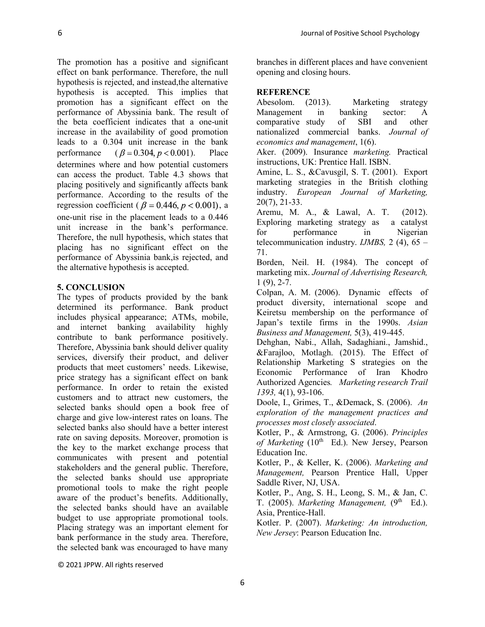The promotion has a positive and significant effect on bank performance. Therefore, the null hypothesis is rejected, and instead,the alternative hypothesis is accepted. This implies that promotion has a significant effect on the performance of Abyssinia bank. The result of the beta coefficient indicates that a one-unit increase in the availability of good promotion leads to a 0.304 unit increase in the bank performance  $(\beta = 0.304, p < 0.001)$ . Place determines where and how potential customers can access the product. Table 4.3 shows that placing positively and significantly affects bank performance. According to the results of the regression coefficient ( $\beta$  = 0.446,  $p$  < 0.001), a one-unit rise in the placement leads to a 0.446 unit increase in the bank's performance. Therefore, the null hypothesis, which states that placing has no significant effect on the performance of Abyssinia bank,is rejected, and the alternative hypothesis is accepted.

# **5. CONCLUSION**

The types of products provided by the bank determined its performance. Bank product includes physical appearance; ATMs, mobile, and internet banking availability highly contribute to bank performance positively. Therefore, Abyssinia bank should deliver quality services, diversify their product, and deliver products that meet customers' needs. Likewise, price strategy has a significant effect on bank performance. In order to retain the existed customers and to attract new customers, the selected banks should open a book free of charge and give low-interest rates on loans. The selected banks also should have a better interest rate on saving deposits. Moreover, promotion is the key to the market exchange process that communicates with present and potential stakeholders and the general public. Therefore, the selected banks should use appropriate promotional tools to make the right people aware of the product's benefits. Additionally, the selected banks should have an available budget to use appropriate promotional tools. Placing strategy was an important element for bank performance in the study area. Therefore, the selected bank was encouraged to have many

branches in different places and have convenient opening and closing hours.

# **REFERENCE**

Abesolom. (2013). Marketing strategy Management in banking sector: A comparative study of SBI and other nationalized commercial banks. *Journal of economics and management*, 1(6).

Aker. (2009). Insurance *marketing.* Practical instructions, UK: Prentice Hall. ISBN.

Amine, L. S., &Cavusgil, S. T. (2001). Export marketing strategies in the British clothing industry. *European Journal of Marketing,* 20(7), 21-33.

Aremu, M. A., & Lawal, A. T. (2012). Exploring marketing strategy as a catalyst for performance in Nigerian telecommunication industry. *IJMBS,* 2 (4), 65 – 71.

Borden, Neil. H. (1984). The concept of marketing mix. *Journal of Advertising Research,*  $1(9)$ , 2-7.

Colpan, A. M. (2006). Dynamic effects of product diversity, international scope and Keiretsu membership on the performance of Japan's textile firms in the 1990s. *Asian Business and Management,* 5(3), 419-445.

Dehghan, Nabi., Allah, Sadaghiani., Jamshid., &Farajloo, Motlagh. (2015). The Effect of Relationship Marketing S strategies on the Economic Performance of Iran Khodro Authorized Agencies*. Marketing research Trail 1393,* 4(1), 93-106.

Doole, I., Grimes, T., &Demack, S. (2006). *An exploration of the management practices and processes most closely associated*.

Kotler, P., & Armstrong, G. (2006). *Principles*  of Marketing (10<sup>th</sup> Ed.). New Jersey, Pearson Education Inc.

Kotler, P., & Keller, K. (2006). *Marketing and Management,* Pearson Prentice Hall, Upper Saddle River, NJ, USA.

Kotler, P., Ang, S. H., Leong, S. M., & Jan, C. T. (2005). *Marketing Management*, (9<sup>th</sup> Ed.). Asia, Prentice-Hall.

Kotler. P. (2007). *Marketing: An introduction, New Jersey*: Pearson Education Inc.

© 2021 JPPW. All rights reserved